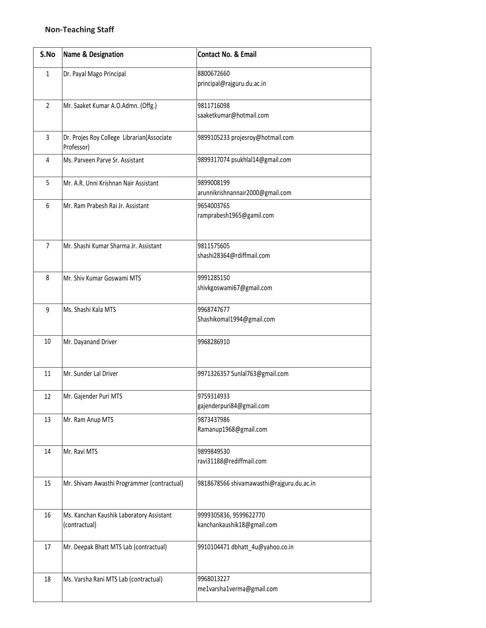| S.No           | <b>Name &amp; Designation</b>                             | <b>Contact No. &amp; Email</b>                       |
|----------------|-----------------------------------------------------------|------------------------------------------------------|
| $\mathbf{1}$   | Dr. Payal Mago Principal                                  | 8800672660<br>principal@rajguru.du.ac.in             |
| $\overline{2}$ | Mr. Saaket Kumar A.O.Admn. (Offg.)                        | 9811716098<br>saaketkumar@hotmail.com                |
| $\overline{3}$ | Dr. Projes Roy College Librarian(Associate<br>Professor)  | 9899105233 projesroy@hotmail.com                     |
| 4              | Ms. Parveen Parve Sr. Assistant                           | 9899317074 psukhlal14@gmail.com                      |
| 5              | Mr. A.R. Unni Krishnan Nair Assistant                     | 9899008199<br>arunnikrishnannair2000@gmail.com       |
| 6              | Mr. Ram Prabesh Rai Jr. Assistant                         | 9654003765<br>ramprabesh1965@gamil.com               |
| $\overline{7}$ | Mr. Shashi Kumar Sharma Jr. Assistant                     | 9811575605<br>shashi28364@rdiffmail.com              |
| 8              | Mr. Shiv Kumar Goswami MTS                                | 9991285150<br>shivkgoswami67@gmail.com               |
| 9              | Ms. Shashi Kala MTS                                       | 9968747677<br>Shashikomal1994@gmail.com              |
| 10             | Mr. Dayanand Driver                                       | 9968286910                                           |
| 11             | Mr. Sunder Lal Driver                                     | 9971326357 Sunlal763@gmail.com                       |
| 12             | Mr. Gajender Puri MTS                                     | 9759314933<br>gajenderpuri84@gmail.com               |
| 13             | Mr. Ram Anup MTS                                          | 9873437986<br>Ramanup1968@gmail.com                  |
| 14             | Mr. Ravi MTS                                              | 9899849530<br>ravi31188@rediffmail.com               |
| 15             | Mr. Shivam Awasthi Programmer (contractual)               | 9818678566 shivamawasthi@rajguru.du.ac.in            |
| 16             | Ms. Kanchan Kaushik Laboratory Assistant<br>(contractual) | 9999305836, 9599622770<br>kanchankaushik18@gmail.com |
| 17             | Mr. Deepak Bhatt MTS Lab (contractual)                    | 9910104471 dbhatt_4u@yahoo.co.in                     |
| 18             | Ms. Varsha Rani MTS Lab (contractual)                     | 9968013227<br>me1varsha1verma@gmail.com              |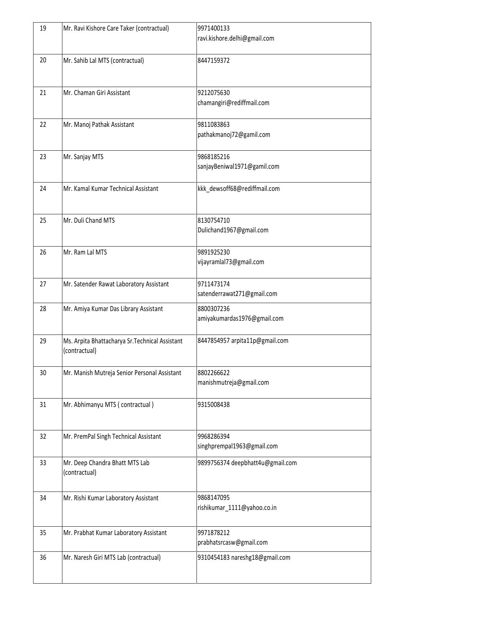| 19 | Mr. Ravi Kishore Care Taker (contractual)                        | 9971400133<br>ravi.kishore.delhi@gmail.com |
|----|------------------------------------------------------------------|--------------------------------------------|
| 20 | Mr. Sahib Lal MTS (contractual)                                  | 8447159372                                 |
| 21 | Mr. Chaman Giri Assistant                                        | 9212075630<br>chamangiri@rediffmail.com    |
| 22 | Mr. Manoj Pathak Assistant                                       | 9811083863<br>pathakmanoj72@gamil.com      |
| 23 | Mr. Sanjay MTS                                                   | 9868185216<br>sanjayBeniwal1971@gamil.com  |
| 24 | Mr. Kamal Kumar Technical Assistant                              | kkk_dewsoff68@rediffmail.com               |
| 25 | Mr. Duli Chand MTS                                               | 8130754710<br>Dulichand1967@gmail.com      |
| 26 | Mr. Ram Lal MTS                                                  | 9891925230<br>vijayramlal73@gmail.com      |
| 27 | Mr. Satender Rawat Laboratory Assistant                          | 9711473174<br>satenderrawat271@gmail.com   |
| 28 | Mr. Amiya Kumar Das Library Assistant                            | 8800307236<br>amiyakumardas1976@gmail.com  |
| 29 | Ms. Arpita Bhattacharya Sr. Technical Assistant<br>(contractual) | 8447854957 arpita11p@gmail.com             |
| 30 | Mr. Manish Mutreja Senior Personal Assistant                     | 8802266622<br>manishmutreja@gmail.com      |
| 31 | Mr. Abhimanyu MTS (contractual)                                  | 9315008438                                 |
| 32 | Mr. PremPal Singh Technical Assistant                            | 9968286394<br>singhprempal1963@gmail.com   |
| 33 | Mr. Deep Chandra Bhatt MTS Lab<br>(contractual)                  | 9899756374 deepbhatt4u@gmail.com           |
| 34 | Mr. Rishi Kumar Laboratory Assistant                             | 9868147095<br>rishikumar_1111@yahoo.co.in  |
| 35 | Mr. Prabhat Kumar Laboratory Assistant                           | 9971878212<br>prabhatsrcasw@gmail.com      |
| 36 | Mr. Naresh Giri MTS Lab (contractual)                            | 9310454183 nareshg18@gmail.com             |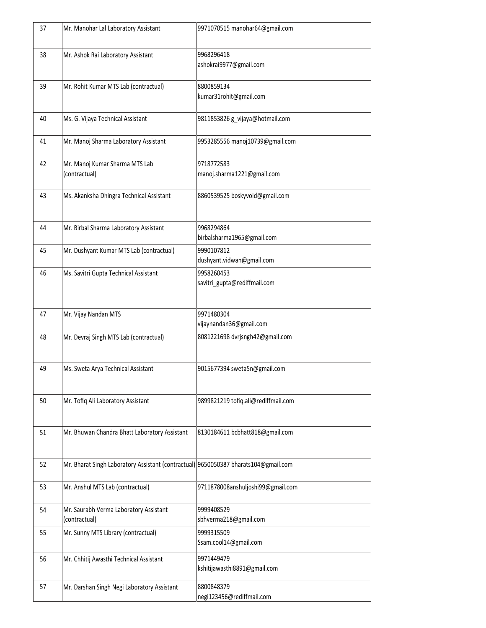| 37 | Mr. Manohar Lal Laboratory Assistant                                                | 9971070515 manohar64@gmail.com             |
|----|-------------------------------------------------------------------------------------|--------------------------------------------|
| 38 | Mr. Ashok Rai Laboratory Assistant                                                  | 9968296418<br>ashokrai9977@gmail.com       |
| 39 | Mr. Rohit Kumar MTS Lab (contractual)                                               | 8800859134<br>kumar31rohit@gmail.com       |
| 40 | Ms. G. Vijaya Technical Assistant                                                   | 9811853826 g_vijaya@hotmail.com            |
| 41 | Mr. Manoj Sharma Laboratory Assistant                                               | 9953285556 manoj10739@gmail.com            |
| 42 | Mr. Manoj Kumar Sharma MTS Lab<br>(contractual)                                     | 9718772583<br>manoj.sharma1221@gmail.com   |
| 43 | Ms. Akanksha Dhingra Technical Assistant                                            | 8860539525 boskyvoid@gmail.com             |
| 44 | Mr. Birbal Sharma Laboratory Assistant                                              | 9968294864<br>birbalsharma1965@gmail.com   |
| 45 | Mr. Dushyant Kumar MTS Lab (contractual)                                            | 9990107812<br>dushyant.vidwan@gmail.com    |
| 46 | Ms. Savitri Gupta Technical Assistant                                               | 9958260453<br>savitri_gupta@rediffmail.com |
| 47 | Mr. Vijay Nandan MTS                                                                | 9971480304<br>vijaynandan36@gmail.com      |
| 48 | Mr. Devraj Singh MTS Lab (contractual)                                              | 8081221698 dvrjsngh42@gmail.com            |
| 49 | Ms. Sweta Arya Technical Assistant                                                  | 9015677394 sweta5n@gmail.com               |
| 50 | Mr. Tofiq Ali Laboratory Assistant                                                  | 9899821219 tofiq.ali@rediffmail.com        |
| 51 | Mr. Bhuwan Chandra Bhatt Laboratory Assistant                                       | 8130184611 bcbhatt818@gmail.com            |
| 52 | Mr. Bharat Singh Laboratory Assistant (contractual) 9650050387 bharats104@gmail.com |                                            |
| 53 | Mr. Anshul MTS Lab (contractual)                                                    | 9711878008anshuljoshi99@gmail.com          |
| 54 | Mr. Saurabh Verma Laboratory Assistant<br>(contractual)                             | 9999408529<br>sbhverma218@gmail.com        |
| 55 | Mr. Sunny MTS Library (contractual)                                                 | 9999315509<br>Ssam.cool14@gmail.com        |
| 56 | Mr. Chhitij Awasthi Technical Assistant                                             | 9971449479<br>kshitijawasthi8891@gmail.com |
| 57 | Mr. Darshan Singh Negi Laboratory Assistant                                         | 8800848379<br>negi123456@rediffmail.com    |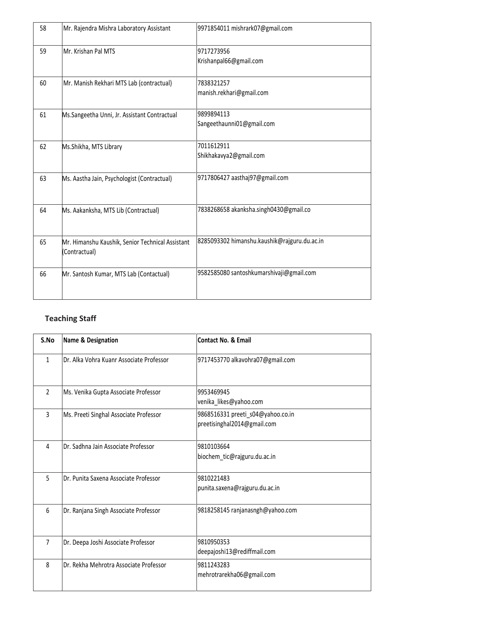| 58 | Mr. Rajendra Mishra Laboratory Assistant                          | 9971854011 mishrark07@gmail.com              |
|----|-------------------------------------------------------------------|----------------------------------------------|
| 59 | Mr. Krishan Pal MTS                                               | 9717273956<br>Krishanpal66@gmail.com         |
| 60 | Mr. Manish Rekhari MTS Lab (contractual)                          | 7838321257<br>manish.rekhari@gmail.com       |
| 61 | Ms.Sangeetha Unni, Jr. Assistant Contractual                      | 9899894113<br>Sangeethaunni01@gmail.com      |
| 62 | Ms.Shikha, MTS Library                                            | 7011612911<br>Shikhakavya2@gmail.com         |
| 63 | Ms. Aastha Jain, Psychologist (Contractual)                       | 9717806427 aasthaj97@gmail.com               |
| 64 | Ms. Aakanksha, MTS Lib (Contractual)                              | 7838268658 akanksha.singh0430@gmail.co       |
| 65 | Mr. Himanshu Kaushik, Senior Technical Assistant<br>(Contractual) | 8285093302 himanshu.kaushik@rajguru.du.ac.in |
| 66 | Mr. Santosh Kumar, MTS Lab (Contactual)                           | 9582585080 santoshkumarshivaji@gmail.com     |

## **Teaching Staff**

| S.No           | Name & Designation                       | <b>Contact No. &amp; Email</b>                                   |
|----------------|------------------------------------------|------------------------------------------------------------------|
| $\mathbf{1}$   | Dr. Alka Vohra Kuanr Associate Professor | 9717453770 alkavohra07@gmail.com                                 |
| $\mathfrak{D}$ | Ms. Venika Gupta Associate Professor     | 9953469945<br>venika_likes@yahoo.com                             |
| 3              | Ms. Preeti Singhal Associate Professor   | 9868516331 preeti_s04@yahoo.co.in<br>preetisinghal2014@gmail.com |
| 4              | Dr. Sadhna Jain Associate Professor      | 9810103664<br>biochem_tic@rajguru.du.ac.in                       |
| 5              | Dr. Punita Saxena Associate Professor    | 9810221483<br>punita.saxena@rajguru.du.ac.in                     |
| 6              | Dr. Ranjana Singh Associate Professor    | 9818258145 ranjanasngh@yahoo.com                                 |
| $\overline{7}$ | Dr. Deepa Joshi Associate Professor      | 9810950353<br>deepajoshi13@rediffmail.com                        |
| 8              | Dr. Rekha Mehrotra Associate Professor   | 9811243283<br>mehrotrarekha06@gmail.com                          |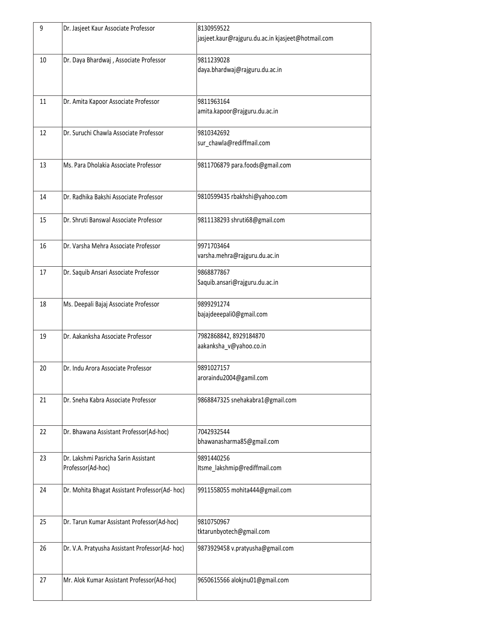| 9  | Dr. Jasjeet Kaur Associate Professor                      | 8130959522<br>jasjeet.kaur@rajguru.du.ac.in kjasjeet@hotmail.com |
|----|-----------------------------------------------------------|------------------------------------------------------------------|
| 10 | Dr. Daya Bhardwaj, Associate Professor                    | 9811239028<br>daya.bhardwaj@rajguru.du.ac.in                     |
| 11 | Dr. Amita Kapoor Associate Professor                      | 9811963164<br>amita.kapoor@rajguru.du.ac.in                      |
| 12 | Dr. Suruchi Chawla Associate Professor                    | 9810342692<br>sur_chawla@rediffmail.com                          |
| 13 | Ms. Para Dholakia Associate Professor                     | 9811706879 para.foods@gmail.com                                  |
| 14 | Dr. Radhika Bakshi Associate Professor                    | 9810599435 rbakhshi@yahoo.com                                    |
| 15 | Dr. Shruti Banswal Associate Professor                    | 9811138293 shruti68@gmail.com                                    |
| 16 | Dr. Varsha Mehra Associate Professor                      | 9971703464<br>varsha.mehra@rajguru.du.ac.in                      |
| 17 | Dr. Saquib Ansari Associate Professor                     | 9868877867<br>Saquib.ansari@rajguru.du.ac.in                     |
| 18 | Ms. Deepali Bajaj Associate Professor                     | 9899291274<br>bajajdeeepali0@gmail.com                           |
| 19 | Dr. Aakanksha Associate Professor                         | 7982868842, 8929184870<br>aakanksha_v@yahoo.co.in                |
| 20 | Dr. Indu Arora Associate Professor                        | 9891027157<br>aroraindu2004@gamil.com                            |
| 21 | Dr. Sneha Kabra Associate Professor                       | 9868847325 snehakabra1@gmail.com                                 |
| 22 | Dr. Bhawana Assistant Professor(Ad-hoc)                   | 7042932544<br>bhawanasharma85@gmail.com                          |
| 23 | Dr. Lakshmi Pasricha Sarin Assistant<br>Professor(Ad-hoc) | 9891440256<br>Itsme_lakshmip@rediffmail.com                      |
| 24 | Dr. Mohita Bhagat Assistant Professor(Ad-hoc)             | 9911558055 mohita444@gmail.com                                   |
| 25 | Dr. Tarun Kumar Assistant Professor(Ad-hoc)               | 9810750967<br>tktarunbyotech@gmail.com                           |
| 26 | Dr. V.A. Pratyusha Assistant Professor(Ad-hoc)            | 9873929458 v.pratyusha@gmail.com                                 |
| 27 | Mr. Alok Kumar Assistant Professor(Ad-hoc)                | 9650615566 alokjnu01@gmail.com                                   |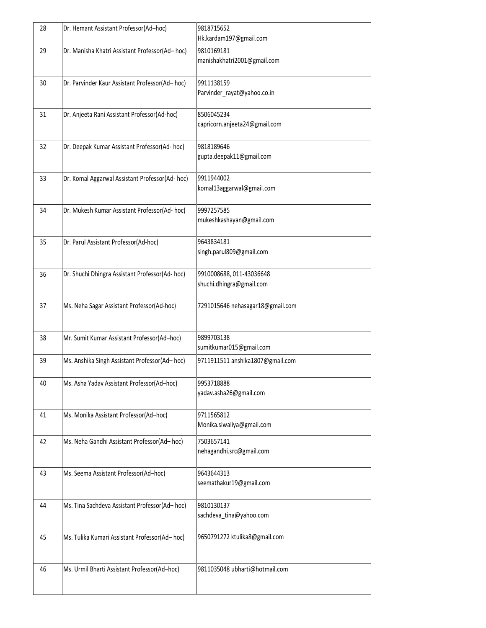| 28 | Dr. Hemant Assistant Professor(Ad-hoc)          | 9818715652<br>Hk.kardam197@gmail.com                 |
|----|-------------------------------------------------|------------------------------------------------------|
| 29 | Dr. Manisha Khatri Assistant Professor(Ad-hoc)  | 9810169181<br>manishakhatri2001@gmail.com            |
| 30 | Dr. Parvinder Kaur Assistant Professor(Ad-hoc)  | 9911138159<br>Parvinder_rayat@yahoo.co.in            |
| 31 | Dr. Anjeeta Rani Assistant Professor(Ad-hoc)    | 8506045234<br>capricorn.anjeeta24@gmail.com          |
| 32 | Dr. Deepak Kumar Assistant Professor(Ad-hoc)    | 9818189646<br>gupta.deepak11@gmail.com               |
| 33 | Dr. Komal Aggarwal Assistant Professor(Ad- hoc) | 9911944002<br>komal13aggarwal@gmail.com              |
| 34 | Dr. Mukesh Kumar Assistant Professor(Ad- hoc)   | 9997257585<br>mukeshkashayan@gmail.com               |
| 35 | Dr. Parul Assistant Professor(Ad-hoc)           | 9643834181<br>singh.parul809@gmail.com               |
| 36 | Dr. Shuchi Dhingra Assistant Professor(Ad-hoc)  | 9910008688, 011-43036648<br>shuchi.dhingra@gmail.com |
| 37 | Ms. Neha Sagar Assistant Professor(Ad-hoc)      | 7291015646 nehasagar18@gmail.com                     |
| 38 | Mr. Sumit Kumar Assistant Professor(Ad-hoc)     | 9899703138<br>sumitkumar015@gmail.com                |
| 39 | Ms. Anshika Singh Assistant Professor(Ad-hoc)   | 9711911511 anshika1807@gmail.com                     |
| 40 | Ms. Asha Yadav Assistant Professor(Ad-hoc)      | 9953718888<br>yadav.asha26@gmail.com                 |
| 41 | Ms. Monika Assistant Professor(Ad-hoc)          | 9711565812<br>Monika.siwaliya@gmail.com              |
| 42 | Ms. Neha Gandhi Assistant Professor(Ad-hoc)     | 7503657141<br>nehagandhi.src@gmail.com               |
| 43 | Ms. Seema Assistant Professor(Ad-hoc)           | 9643644313<br>seemathakur19@gmail.com                |
| 44 | Ms. Tina Sachdeva Assistant Professor(Ad-hoc)   | 9810130137<br>sachdeva_tina@yahoo.com                |
| 45 | Ms. Tulika Kumari Assistant Professor(Ad-hoc)   | 9650791272 ktulika8@gmail.com                        |
| 46 | Ms. Urmil Bharti Assistant Professor(Ad-hoc)    | 9811035048 ubharti@hotmail.com                       |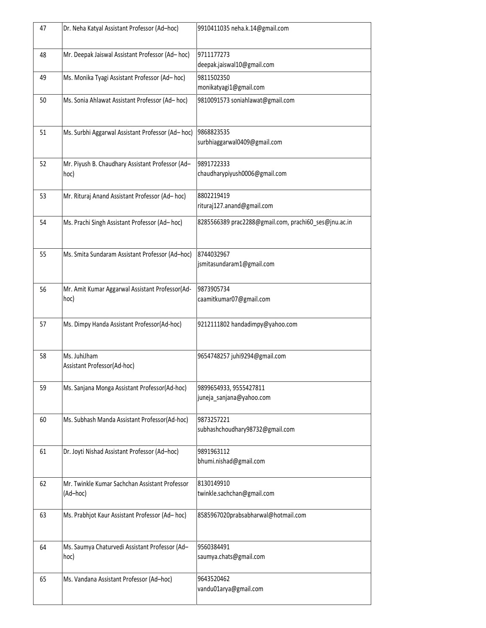| 47 | Dr. Neha Katyal Assistant Professor (Ad-hoc)               | 9910411035 neha.k.14@gmail.com                        |
|----|------------------------------------------------------------|-------------------------------------------------------|
| 48 | Mr. Deepak Jaiswal Assistant Professor (Ad-hoc)            | 9711177273<br>deepak.jaiswal10@gmail.com              |
| 49 | Ms. Monika Tyagi Assistant Professor (Ad-hoc)              | 9811502350<br>monikatyagi1@gmail.com                  |
| 50 | Ms. Sonia Ahlawat Assistant Professor (Ad-hoc)             | 9810091573 soniahlawat@gmail.com                      |
| 51 | Ms. Surbhi Aggarwal Assistant Professor (Ad-hoc)           | 9868823535<br>surbhiaggarwal0409@gmail.com            |
| 52 | Mr. Piyush B. Chaudhary Assistant Professor (Ad-<br>hoc)   | 9891722333<br>chaudharypiyush0006@gmail.com           |
| 53 | Mr. Rituraj Anand Assistant Professor (Ad-hoc)             | 8802219419<br>rituraj127.anand@gmail.com              |
| 54 | Ms. Prachi Singh Assistant Professor (Ad-hoc)              | 8285566389 prac2288@gmail.com, prachi60 ses@jnu.ac.in |
| 55 | Ms. Smita Sundaram Assistant Professor (Ad-hoc)            | 8744032967<br>jsmitasundaram1@gmail.com               |
| 56 | Mr. Amit Kumar Aggarwal Assistant Professor(Ad-<br>hoc)    | 9873905734<br>caamitkumar07@gmail.com                 |
| 57 | Ms. Dimpy Handa Assistant Professor(Ad-hoc)                | 9212111802 handadimpy@yahoo.com                       |
| 58 | Ms. JuhiJham<br>Assistant Professor(Ad-hoc)                | 9654748257 juhi9294@gmail.com                         |
| 59 | Ms. Sanjana Monga Assistant Professor(Ad-hoc)              | 9899654933, 9555427811<br>juneja_sanjana@yahoo.com    |
| 60 | Ms. Subhash Manda Assistant Professor(Ad-hoc)              | 9873257221<br>subhashchoudhary98732@gmail.com         |
| 61 | Dr. Joyti Nishad Assistant Professor (Ad-hoc)              | 9891963112<br>bhumi.nishad@gmail.com                  |
| 62 | Mr. Twinkle Kumar Sachchan Assistant Professor<br>(Ad-hoc) | 8130149910<br>twinkle.sachchan@gmail.com              |
| 63 | Ms. Prabhjot Kaur Assistant Professor (Ad-hoc)             | 8585967020prabsabharwal@hotmail.com                   |
| 64 | Ms. Saumya Chaturvedi Assistant Professor (Ad-<br>hoc)     | 9560384491<br>saumya.chats@gmail.com                  |
| 65 | Ms. Vandana Assistant Professor (Ad-hoc)                   | 9643520462<br>vandu01arya@gmail.com                   |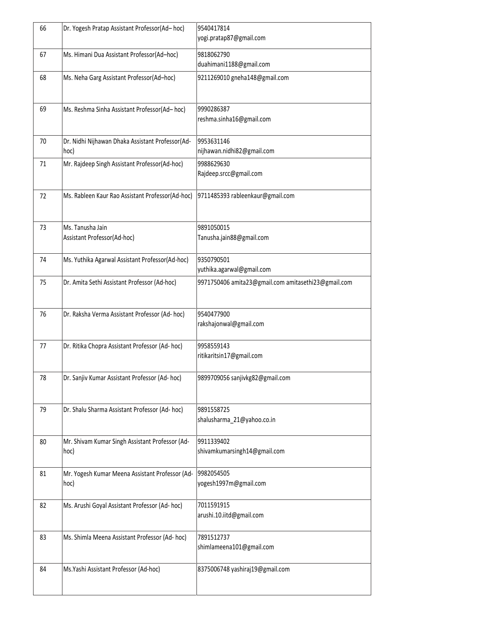| 66 | Dr. Yogesh Pratap Assistant Professor(Ad-hoc)            | 9540417814<br>yogi.pratap87@gmail.com               |
|----|----------------------------------------------------------|-----------------------------------------------------|
| 67 | Ms. Himani Dua Assistant Professor(Ad-hoc)               | 9818062790<br>duahimani1188@gmail.com               |
| 68 | Ms. Neha Garg Assistant Professor(Ad-hoc)                | 9211269010 gneha148@gmail.com                       |
| 69 | Ms. Reshma Sinha Assistant Professor(Ad-hoc)             | 9990286387<br>reshma.sinha16@gmail.com              |
| 70 | Dr. Nidhi Nijhawan Dhaka Assistant Professor(Ad-<br>hoc) | 9953631146<br>nijhawan.nidhi82@gmail.com            |
| 71 | Mr. Rajdeep Singh Assistant Professor(Ad-hoc)            | 9988629630<br>Rajdeep.srcc@gmail.com                |
| 72 | Ms. Rableen Kaur Rao Assistant Professor(Ad-hoc)         | 9711485393 rableenkaur@gmail.com                    |
| 73 | Ms. Tanusha Jain<br>Assistant Professor(Ad-hoc)          | 9891050015<br>Tanusha.jain88@gmail.com              |
| 74 | Ms. Yuthika Agarwal Assistant Professor(Ad-hoc)          | 9350790501<br>yuthika.agarwal@gmail.com             |
| 75 | Dr. Amita Sethi Assistant Professor (Ad-hoc)             | 9971750406 amita23@gmail.com amitasethi23@gmail.com |
| 76 | Dr. Raksha Verma Assistant Professor (Ad-hoc)            | 9540477900<br>rakshajonwal@gmail.com                |
| 77 | Dr. Ritika Chopra Assistant Professor (Ad- hoc)          | 9958559143<br>ritikaritsin17@gmail.com              |
| 78 | Dr. Sanjiv Kumar Assistant Professor (Ad- hoc)           | 9899709056 sanjivkg82@gmail.com                     |
| 79 | Dr. Shalu Sharma Assistant Professor (Ad- hoc)           | 9891558725<br>shalusharma_21@yahoo.co.in            |
| 80 | Mr. Shivam Kumar Singh Assistant Professor (Ad-<br>hoc)  | 9911339402<br>shivamkumarsingh14@gmail.com          |
| 81 | Mr. Yogesh Kumar Meena Assistant Professor (Ad-<br>hoc)  | 9982054505<br>yogesh1997m@gmail.com                 |
| 82 | Ms. Arushi Goyal Assistant Professor (Ad- hoc)           | 7011591915<br>arushi.10.iitd@gmail.com              |
| 83 | Ms. Shimla Meena Assistant Professor (Ad-hoc)            | 7891512737<br>shimlameena101@gmail.com              |
| 84 | Ms.Yashi Assistant Professor (Ad-hoc)                    | 8375006748 yashiraj19@gmail.com                     |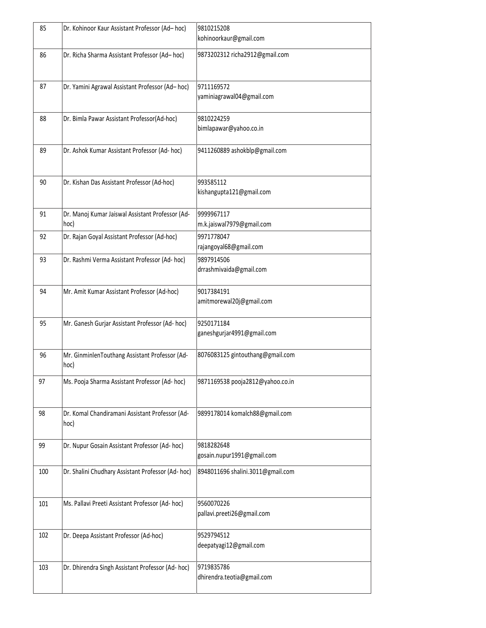| 85  | Dr. Kohinoor Kaur Assistant Professor (Ad-hoc)           | 9810215208<br>kohinoorkaur@gmail.com     |
|-----|----------------------------------------------------------|------------------------------------------|
| 86  | Dr. Richa Sharma Assistant Professor (Ad-hoc)            | 9873202312 richa2912@gmail.com           |
| 87  | Dr. Yamini Agrawal Assistant Professor (Ad-hoc)          | 9711169572<br>yaminiagrawal04@gmail.com  |
| 88  | Dr. Bimla Pawar Assistant Professor(Ad-hoc)              | 9810224259<br>bimlapawar@yahoo.co.in     |
| 89  | Dr. Ashok Kumar Assistant Professor (Ad-hoc)             | 9411260889 ashokblp@gmail.com            |
| 90  | Dr. Kishan Das Assistant Professor (Ad-hoc)              | 993585112<br>kishangupta121@gmail.com    |
| 91  | Dr. Manoj Kumar Jaiswal Assistant Professor (Ad-<br>hoc) | 9999967117<br>m.k.jaiswal7979@gmail.com  |
| 92  | Dr. Rajan Goyal Assistant Professor (Ad-hoc)             | 9971778047<br>rajangoyal68@gmail.com     |
| 93  | Dr. Rashmi Verma Assistant Professor (Ad- hoc)           | 9897914506<br>drrashmivaida@gmail.com    |
| 94  | Mr. Amit Kumar Assistant Professor (Ad-hoc)              | 9017384191<br>amitmorewal20j@gmail.com   |
| 95  | Mr. Ganesh Gurjar Assistant Professor (Ad- hoc)          | 9250171184<br>ganeshgurjar4991@gmail.com |
| 96  | Mr. GinminlenTouthang Assistant Professor (Ad-<br>hoc)   | 8076083125 gintouthang@gmail.com         |
| 97  | Ms. Pooja Sharma Assistant Professor (Ad- hoc)           | 9871169538 pooja2812@yahoo.co.in         |
| 98  | Dr. Komal Chandiramani Assistant Professor (Ad-<br>hoc)  | 9899178014 komalch88@gmail.com           |
| 99  | Dr. Nupur Gosain Assistant Professor (Ad- hoc)           | 9818282648<br>gosain.nupur1991@gmail.com |
| 100 | Dr. Shalini Chudhary Assistant Professor (Ad-hoc)        | 8948011696 shalini.3011@gmail.com        |
| 101 | Ms. Pallavi Preeti Assistant Professor (Ad- hoc)         | 9560070226<br>pallavi.preeti26@gmail.com |
| 102 | Dr. Deepa Assistant Professor (Ad-hoc)                   | 9529794512<br>deepatyagi12@gmail.com     |
| 103 | Dr. Dhirendra Singh Assistant Professor (Ad-hoc)         | 9719835786<br>dhirendra.teotia@gmail.com |